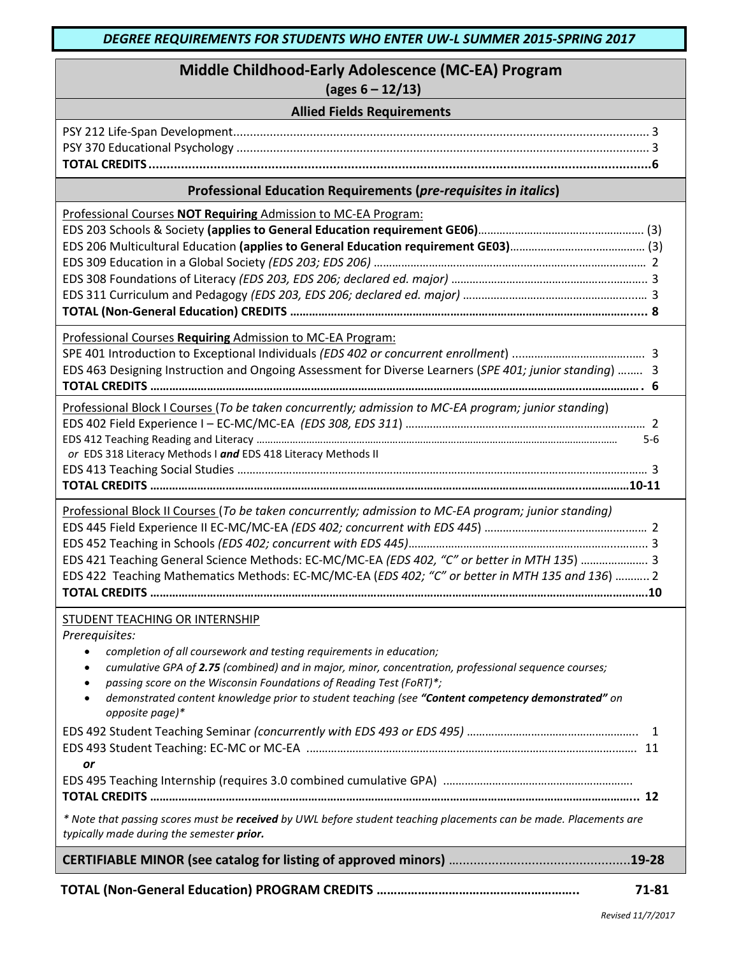| Middle Childhood-Early Adolescence (MC-EA) Program<br>$\left(\text{ages } 6 - 12/13\right)$                                                                                                                                                                                                                                                                                                                                                                                  |  |  |
|------------------------------------------------------------------------------------------------------------------------------------------------------------------------------------------------------------------------------------------------------------------------------------------------------------------------------------------------------------------------------------------------------------------------------------------------------------------------------|--|--|
| <b>Allied Fields Requirements</b>                                                                                                                                                                                                                                                                                                                                                                                                                                            |  |  |
|                                                                                                                                                                                                                                                                                                                                                                                                                                                                              |  |  |
| Professional Education Requirements (pre-requisites in italics)                                                                                                                                                                                                                                                                                                                                                                                                              |  |  |
| Professional Courses NOT Requiring Admission to MC-EA Program:                                                                                                                                                                                                                                                                                                                                                                                                               |  |  |
| Professional Courses Requiring Admission to MC-EA Program:<br>EDS 463 Designing Instruction and Ongoing Assessment for Diverse Learners (SPE 401; junior standing)  3                                                                                                                                                                                                                                                                                                        |  |  |
| Professional Block I Courses (To be taken concurrently; admission to MC-EA program; junior standing)<br>5-6<br>or EDS 318 Literacy Methods I and EDS 418 Literacy Methods II                                                                                                                                                                                                                                                                                                 |  |  |
| Professional Block II Courses (To be taken concurrently; admission to MC-EA program; junior standing)<br>EDS 421 Teaching General Science Methods: EC-MC/MC-EA (EDS 402, "C" or better in MTH 135)  3<br>EDS 422 Teaching Mathematics Methods: EC-MC/MC-EA (EDS 402; "C" or better in MTH 135 and 136)  2                                                                                                                                                                    |  |  |
| STUDENT TEACHING OR INTERNSHIP<br>Prerequisites:<br>completion of all coursework and testing requirements in education;<br>$\bullet$<br>cumulative GPA of 2.75 (combined) and in major, minor, concentration, professional sequence courses;<br>$\bullet$<br>passing score on the Wisconsin Foundations of Reading Test (FoRT)*;<br>$\bullet$<br>demonstrated content knowledge prior to student teaching (see "Content competency demonstrated" on<br>opposite page)*<br>or |  |  |
| * Note that passing scores must be received by UWL before student teaching placements can be made. Placements are<br>typically made during the semester prior.                                                                                                                                                                                                                                                                                                               |  |  |
|                                                                                                                                                                                                                                                                                                                                                                                                                                                                              |  |  |
| 71-81                                                                                                                                                                                                                                                                                                                                                                                                                                                                        |  |  |